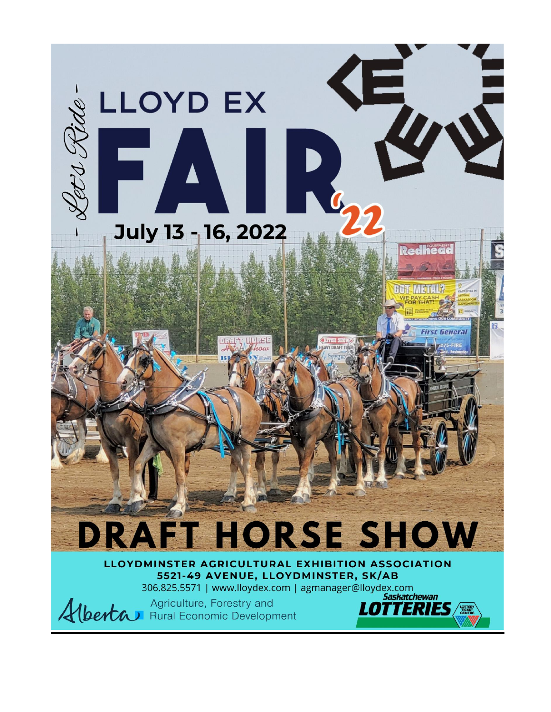

LLOYDMINSTER AGRICULTURAL EXHIBITION ASSOCIATION 5521-49 AVENUE, LLOYDMINSTER, SK/AB 306.825.5571 | www.lloydex.com | agmanager@lloydex.com

**Saskatchewan** 

LOT

ERIES/



Agriculture, Forestry and Alberta Rural Economic Development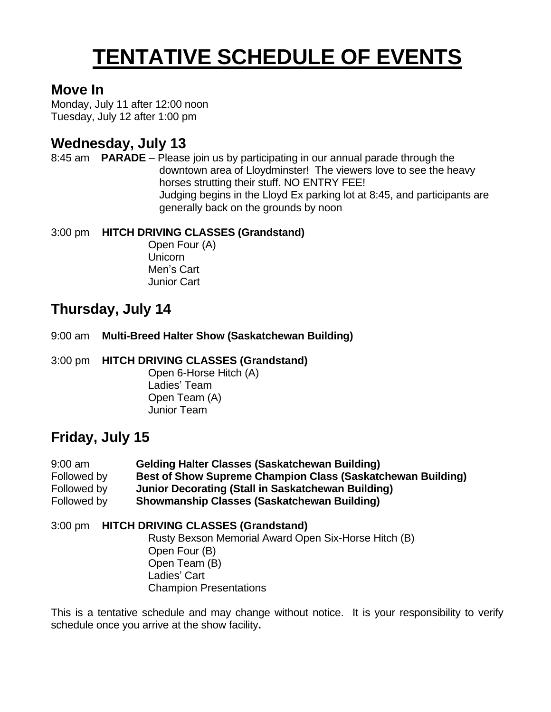## **TENTATIVE SCHEDULE OF EVENTS**

### **Move In**

Monday, July 11 after 12:00 noon Tuesday, July 12 after 1:00 pm

## **Wednesday, July 13**

8:45 am **PARADE** – Please join us by participating in our annual parade through the downtown area of Lloydminster! The viewers love to see the heavy horses strutting their stuff. NO ENTRY FEE! Judging begins in the Lloyd Ex parking lot at 8:45, and participants are generally back on the grounds by noon

### 3:00 pm **HITCH DRIVING CLASSES (Grandstand)**

Open Four (A) Unicorn Men's Cart Junior Cart

## **Thursday, July 14**

9:00 am **Multi-Breed Halter Show (Saskatchewan Building)**

3:00 pm **HITCH DRIVING CLASSES (Grandstand)**

Open 6-Horse Hitch (A) Ladies' Team Open Team (A) Junior Team

## **Friday, July 15**

| $9:00$ am   | <b>Gelding Halter Classes (Saskatchewan Building)</b>              |
|-------------|--------------------------------------------------------------------|
| Followed by | <b>Best of Show Supreme Champion Class (Saskatchewan Building)</b> |
| Followed by | Junior Decorating (Stall in Saskatchewan Building)                 |
| Followed by | <b>Showmanship Classes (Saskatchewan Building)</b>                 |

### 3:00 pm **HITCH DRIVING CLASSES (Grandstand)**

Rusty Bexson Memorial Award Open Six-Horse Hitch (B) Open Four (B) Open Team (B) Ladies' Cart Champion Presentations

This is a tentative schedule and may change without notice. It is your responsibility to verify schedule once you arrive at the show facility**.**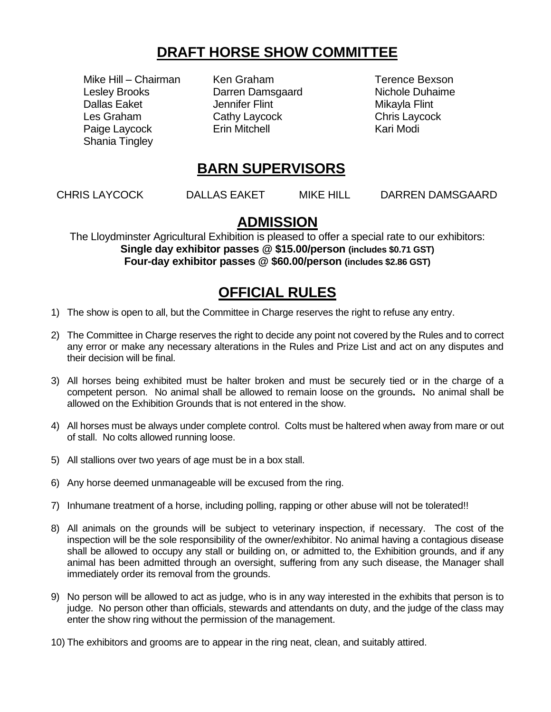## **DRAFT HORSE SHOW COMMITTEE**

Mike Hill – Chairman Ken Graham Terence Bexson Lesley Brooks Darren Damsgaard Nichole Duhaime Dallas Eaket **Jennifer Flint** Mikayla Flint Les Graham Cathy Laycock Chris Laycock Paige Laycock **Erin Mitchell** Erin Modi Shania Tingley

## **BARN SUPERVISORS**

CHRIS LAYCOCK DALLAS EAKET MIKE HILL DARREN DAMSGAARD

### **ADMISSION**

The Lloydminster Agricultural Exhibition is pleased to offer a special rate to our exhibitors: **Single day exhibitor passes @ \$15.00/person (includes \$0.71 GST) Four-day exhibitor passes @ \$60.00/person (includes \$2.86 GST)**

## **OFFICIAL RULES**

- 1) The show is open to all, but the Committee in Charge reserves the right to refuse any entry.
- 2) The Committee in Charge reserves the right to decide any point not covered by the Rules and to correct any error or make any necessary alterations in the Rules and Prize List and act on any disputes and their decision will be final.
- 3) All horses being exhibited must be halter broken and must be securely tied or in the charge of a competent person. No animal shall be allowed to remain loose on the grounds**.** No animal shall be allowed on the Exhibition Grounds that is not entered in the show.
- 4) All horses must be always under complete control. Colts must be haltered when away from mare or out of stall. No colts allowed running loose.
- 5) All stallions over two years of age must be in a box stall.
- 6) Any horse deemed unmanageable will be excused from the ring.
- 7) Inhumane treatment of a horse, including polling, rapping or other abuse will not be tolerated!!
- 8) All animals on the grounds will be subject to veterinary inspection, if necessary. The cost of the inspection will be the sole responsibility of the owner/exhibitor. No animal having a contagious disease shall be allowed to occupy any stall or building on, or admitted to, the Exhibition grounds, and if any animal has been admitted through an oversight, suffering from any such disease, the Manager shall immediately order its removal from the grounds.
- 9) No person will be allowed to act as judge, who is in any way interested in the exhibits that person is to judge. No person other than officials, stewards and attendants on duty, and the judge of the class may enter the show ring without the permission of the management.
- 10) The exhibitors and grooms are to appear in the ring neat, clean, and suitably attired.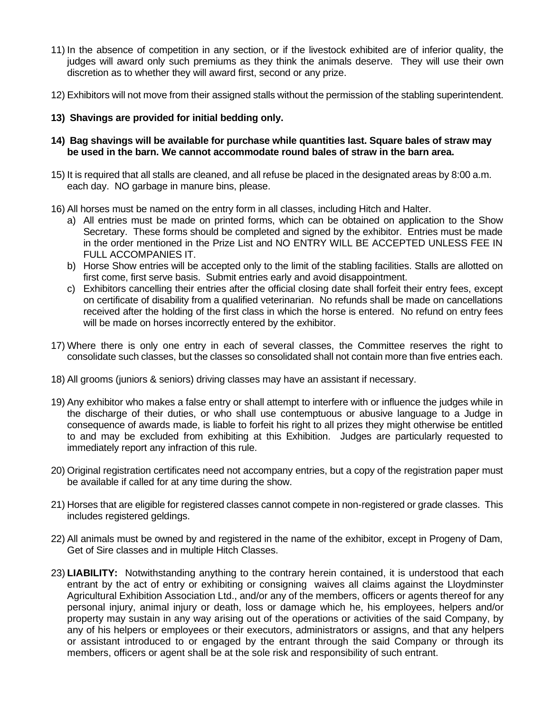- 11) In the absence of competition in any section, or if the livestock exhibited are of inferior quality, the judges will award only such premiums as they think the animals deserve. They will use their own discretion as to whether they will award first, second or any prize.
- 12) Exhibitors will not move from their assigned stalls without the permission of the stabling superintendent.
- **13) Shavings are provided for initial bedding only.**
- **14) Bag shavings will be available for purchase while quantities last. Square bales of straw may be used in the barn. We cannot accommodate round bales of straw in the barn area.**
- 15) It is required that all stalls are cleaned, and all refuse be placed in the designated areas by 8:00 a.m. each day. NO garbage in manure bins, please.
- 16) All horses must be named on the entry form in all classes, including Hitch and Halter.
	- a) All entries must be made on printed forms, which can be obtained on application to the Show Secretary. These forms should be completed and signed by the exhibitor. Entries must be made in the order mentioned in the Prize List and NO ENTRY WILL BE ACCEPTED UNLESS FEE IN FULL ACCOMPANIES IT.
	- b) Horse Show entries will be accepted only to the limit of the stabling facilities. Stalls are allotted on first come, first serve basis. Submit entries early and avoid disappointment.
	- c) Exhibitors cancelling their entries after the official closing date shall forfeit their entry fees, except on certificate of disability from a qualified veterinarian. No refunds shall be made on cancellations received after the holding of the first class in which the horse is entered. No refund on entry fees will be made on horses incorrectly entered by the exhibitor.
- 17) Where there is only one entry in each of several classes, the Committee reserves the right to consolidate such classes, but the classes so consolidated shall not contain more than five entries each.
- 18) All grooms (juniors & seniors) driving classes may have an assistant if necessary.
- 19) Any exhibitor who makes a false entry or shall attempt to interfere with or influence the judges while in the discharge of their duties, or who shall use contemptuous or abusive language to a Judge in consequence of awards made, is liable to forfeit his right to all prizes they might otherwise be entitled to and may be excluded from exhibiting at this Exhibition. Judges are particularly requested to immediately report any infraction of this rule.
- 20) Original registration certificates need not accompany entries, but a copy of the registration paper must be available if called for at any time during the show.
- 21) Horses that are eligible for registered classes cannot compete in non-registered or grade classes. This includes registered geldings.
- 22) All animals must be owned by and registered in the name of the exhibitor, except in Progeny of Dam, Get of Sire classes and in multiple Hitch Classes.
- 23) **LIABILITY:** Notwithstanding anything to the contrary herein contained, it is understood that each entrant by the act of entry or exhibiting or consigning waives all claims against the Lloydminster Agricultural Exhibition Association Ltd., and/or any of the members, officers or agents thereof for any personal injury, animal injury or death, loss or damage which he, his employees, helpers and/or property may sustain in any way arising out of the operations or activities of the said Company, by any of his helpers or employees or their executors, administrators or assigns, and that any helpers or assistant introduced to or engaged by the entrant through the said Company or through its members, officers or agent shall be at the sole risk and responsibility of such entrant.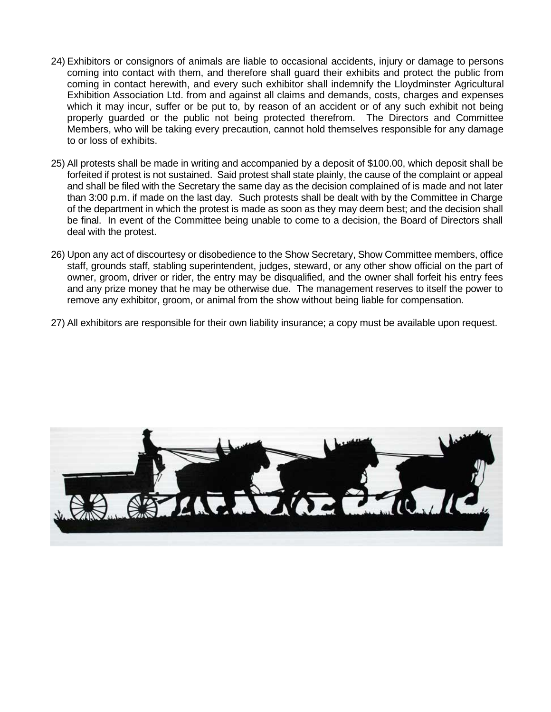- 24) Exhibitors or consignors of animals are liable to occasional accidents, injury or damage to persons coming into contact with them, and therefore shall guard their exhibits and protect the public from coming in contact herewith, and every such exhibitor shall indemnify the Lloydminster Agricultural Exhibition Association Ltd. from and against all claims and demands, costs, charges and expenses which it may incur, suffer or be put to, by reason of an accident or of any such exhibit not being properly guarded or the public not being protected therefrom. The Directors and Committee Members, who will be taking every precaution, cannot hold themselves responsible for any damage to or loss of exhibits.
- 25) All protests shall be made in writing and accompanied by a deposit of \$100.00, which deposit shall be forfeited if protest is not sustained. Said protest shall state plainly, the cause of the complaint or appeal and shall be filed with the Secretary the same day as the decision complained of is made and not later than 3:00 p.m. if made on the last day. Such protests shall be dealt with by the Committee in Charge of the department in which the protest is made as soon as they may deem best; and the decision shall be final. In event of the Committee being unable to come to a decision, the Board of Directors shall deal with the protest.
- 26) Upon any act of discourtesy or disobedience to the Show Secretary, Show Committee members, office staff, grounds staff, stabling superintendent, judges, steward, or any other show official on the part of owner, groom, driver or rider, the entry may be disqualified, and the owner shall forfeit his entry fees and any prize money that he may be otherwise due. The management reserves to itself the power to remove any exhibitor, groom, or animal from the show without being liable for compensation.
- 27) All exhibitors are responsible for their own liability insurance; a copy must be available upon request.

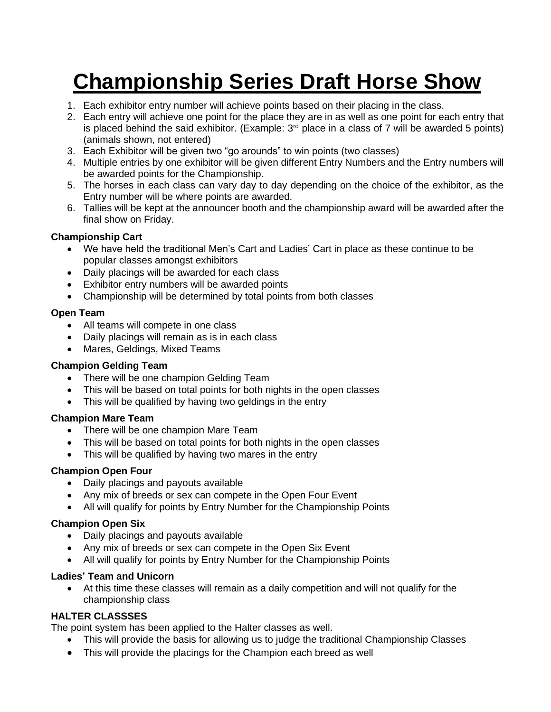## **Championship Series Draft Horse Show**

- 1. Each exhibitor entry number will achieve points based on their placing in the class.
- 2. Each entry will achieve one point for the place they are in as well as one point for each entry that is placed behind the said exhibitor. (Example:  $3<sup>rd</sup>$  place in a class of 7 will be awarded 5 points) (animals shown, not entered)
- 3. Each Exhibitor will be given two "go arounds" to win points (two classes)
- 4. Multiple entries by one exhibitor will be given different Entry Numbers and the Entry numbers will be awarded points for the Championship.
- 5. The horses in each class can vary day to day depending on the choice of the exhibitor, as the Entry number will be where points are awarded.
- 6. Tallies will be kept at the announcer booth and the championship award will be awarded after the final show on Friday.

### **Championship Cart**

- We have held the traditional Men's Cart and Ladies' Cart in place as these continue to be popular classes amongst exhibitors
- Daily placings will be awarded for each class
- Exhibitor entry numbers will be awarded points
- Championship will be determined by total points from both classes

### **Open Team**

- All teams will compete in one class
- Daily placings will remain as is in each class
- Mares, Geldings, Mixed Teams

### **Champion Gelding Team**

- There will be one champion Gelding Team
- This will be based on total points for both nights in the open classes
- This will be qualified by having two geldings in the entry

### **Champion Mare Team**

- There will be one champion Mare Team
- This will be based on total points for both nights in the open classes
- This will be qualified by having two mares in the entry

### **Champion Open Four**

- Daily placings and payouts available
- Any mix of breeds or sex can compete in the Open Four Event
- All will qualify for points by Entry Number for the Championship Points

### **Champion Open Six**

- Daily placings and payouts available
- Any mix of breeds or sex can compete in the Open Six Event
- All will qualify for points by Entry Number for the Championship Points

### **Ladies' Team and Unicorn**

• At this time these classes will remain as a daily competition and will not qualify for the championship class

### **HALTER CLASSSES**

The point system has been applied to the Halter classes as well.

- This will provide the basis for allowing us to judge the traditional Championship Classes
- This will provide the placings for the Champion each breed as well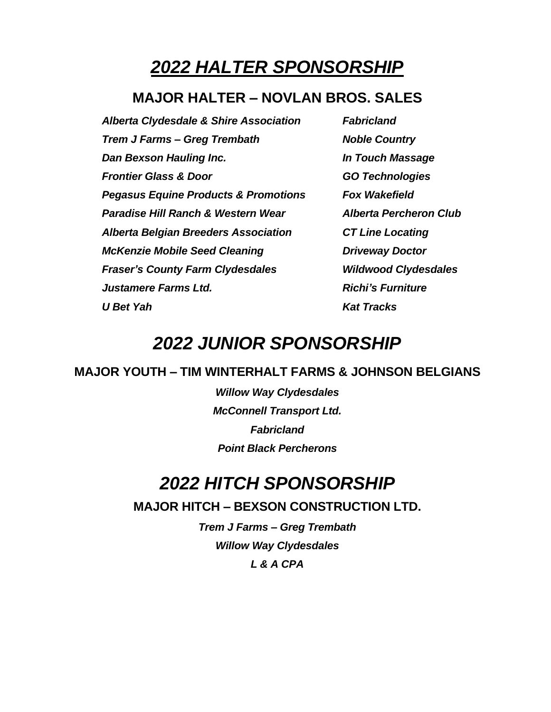## *2022 HALTER SPONSORSHIP*

### **MAJOR HALTER – NOVLAN BROS. SALES**

*Alberta Clydesdale & Shire Association Fabricland Trem J Farms – Greg Trembath Noble Country Dan Bexson Hauling Inc. In Touch Massage Frontier Glass & Door GO Technologies Pegasus Equine Products & Promotions Fox Wakefield Paradise Hill Ranch & Western Wear Alberta Percheron Club Alberta Belgian Breeders Association CT Line Locating McKenzie Mobile Seed Cleaning Driveway Doctor Fraser's County Farm Clydesdales Wildwood Clydesdales Justamere Farms Ltd. Richi's Furniture U Bet Yah Kat Tracks*

## *2022 JUNIOR SPONSORSHIP*

### **MAJOR YOUTH – TIM WINTERHALT FARMS & JOHNSON BELGIANS**

*Willow Way Clydesdales McConnell Transport Ltd. Fabricland Point Black Percherons*

## *2022 HITCH SPONSORSHIP*

**MAJOR HITCH – BEXSON CONSTRUCTION LTD.**

*Trem J Farms – Greg Trembath Willow Way Clydesdales L & A CPA*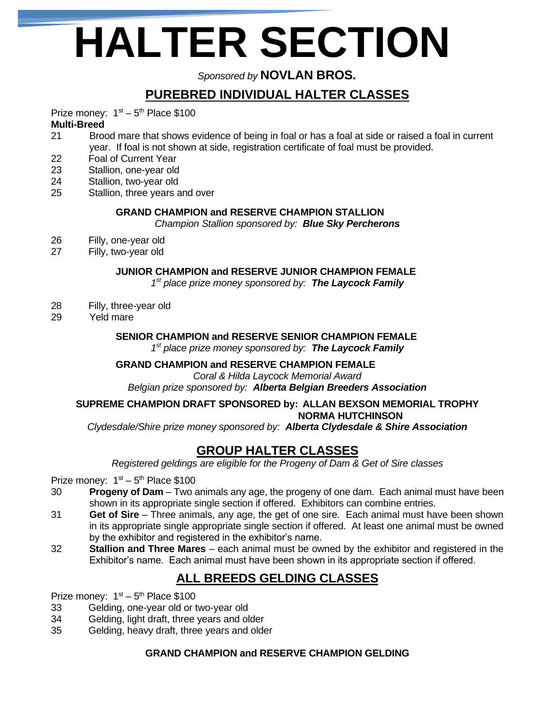# **HALTER SECTION**

*Sponsored by* **NOVLAN BROS.**

## **PUREBRED INDIVIDUAL HALTER CLASSES**

Prize money:  $1<sup>st</sup> - 5<sup>th</sup>$  Place \$100

### **Multi-Breed**

- 21 Brood mare that shows evidence of being in foal or has a foal at side or raised a foal in current year. If foal is not shown at side, registration certificate of foal must be provided.
- 22 Foal of Current Year
- 23 Stallion, one-year old
- 24 Stallion, two-year old
- 25 Stallion, three years and over

### **GRAND CHAMPION and RESERVE CHAMPION STALLION**

*Champion Stallion sponsored by: Blue Sky Percherons*

- 26 Filly, one-year old
- 27 Filly, two-year old

### **JUNIOR CHAMPION and RESERVE JUNIOR CHAMPION FEMALE**

*1 st place prize money sponsored by: The Laycock Family*

- 28 Filly, three-year old
- 29 Yeld mare

### **SENIOR CHAMPION and RESERVE SENIOR CHAMPION FEMALE**

*1 st place prize money sponsored by: The Laycock Family*

### **GRAND CHAMPION and RESERVE CHAMPION FEMALE**

*Coral & Hilda Laycock Memorial Award Belgian prize sponsored by: Alberta Belgian Breeders Association*

#### **SUPREME CHAMPION DRAFT SPONSORED by: ALLAN BEXSON MEMORIAL TROPHY NORMA HUTCHINSON**

*Clydesdale/Shire prize money sponsored by: Alberta Clydesdale & Shire Association*

### **GROUP HALTER CLASSES**

*Registered geldings are eligible for the Progeny of Dam & Get of Sire classes*

Prize money:  $1<sup>st</sup> - 5<sup>th</sup>$  Place \$100

- 30 **Progeny of Dam** Two animals any age, the progeny of one dam. Each animal must have been shown in its appropriate single section if offered. Exhibitors can combine entries.
- 31 **Get of Sire** Three animals, any age, the get of one sire. Each animal must have been shown in its appropriate single appropriate single section if offered. At least one animal must be owned by the exhibitor and registered in the exhibitor's name.
- 32 **Stallion and Three Mares** each animal must be owned by the exhibitor and registered in the Exhibitor's name. Each animal must have been shown in its appropriate section if offered.

### **ALL BREEDS GELDING CLASSES**

Prize money:  $1<sup>st</sup> - 5<sup>th</sup>$  Place \$100

- 33 Gelding, one-year old or two-year old<br>34 Gelding, light draft, three years and ol
- Gelding, light draft, three years and older
- 35 Gelding, heavy draft, three years and older

### **GRAND CHAMPION and RESERVE CHAMPION GELDING**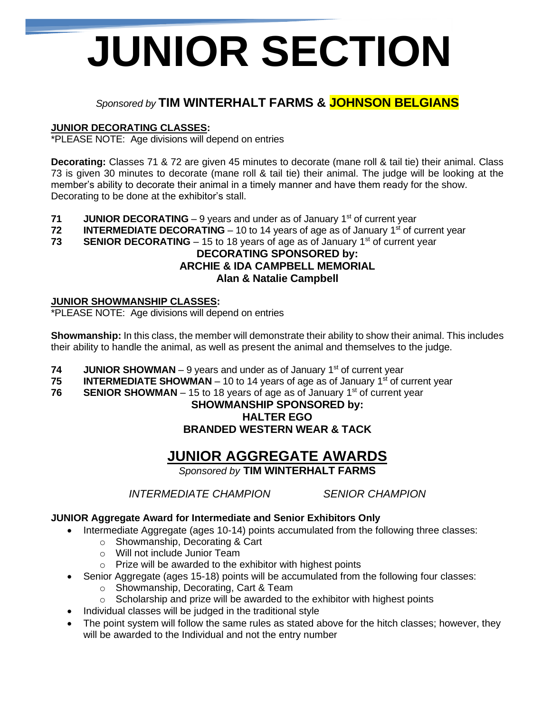# **JUNIOR SECTION**

### *Sponsored by* **TIM WINTERHALT FARMS & JOHNSON BELGIANS**

### **JUNIOR DECORATING CLASSES:**

\*PLEASE NOTE: Age divisions will depend on entries

**Decorating:** Classes 71 & 72 are given 45 minutes to decorate (mane roll & tail tie) their animal. Class 73 is given 30 minutes to decorate (mane roll & tail tie) their animal. The judge will be looking at the member's ability to decorate their animal in a timely manner and have them ready for the show. Decorating to be done at the exhibitor's stall.

- **71 JUNIOR DECORATING** 9 years and under as of January 1<sup>st</sup> of current year
- **72 INTERMEDIATE DECORATING** 10 to 14 years of age as of January 1<sup>st</sup> of current year
- **73 <b>SENIOR DECORATING** 15 to 18 years of age as of January 1<sup>st</sup> of current year

### **DECORATING SPONSORED by: ARCHIE & IDA CAMPBELL MEMORIAL Alan & Natalie Campbell**

### **JUNIOR SHOWMANSHIP CLASSES:**

\*PLEASE NOTE: Age divisions will depend on entries

**Showmanship:** In this class, the member will demonstrate their ability to show their animal. This includes their ability to handle the animal, as well as present the animal and themselves to the judge.

- **74 JUNIOR SHOWMAN** 9 years and under as of January 1<sup>st</sup> of current year
- **75 <b>INTERMEDIATE SHOWMAN** 10 to 14 years of age as of January 1st of current year
- **76 •• SENIOR SHOWMAN** 15 to 18 years of age as of January 1<sup>st</sup> of current year

### **SHOWMANSHIP SPONSORED by: HALTER EGO BRANDED WESTERN WEAR & TACK**

## **JUNIOR AGGREGATE AWARDS**

*Sponsored by* **TIM WINTERHALT FARMS**

*INTERMEDIATE CHAMPION SENIOR CHAMPION*

### **JUNIOR Aggregate Award for Intermediate and Senior Exhibitors Only**

• Intermediate Aggregate (ages 10-14) points accumulated from the following three classes:

- o Showmanship, Decorating & Cart
- o Will not include Junior Team
- o Prize will be awarded to the exhibitor with highest points
- Senior Aggregate (ages 15-18) points will be accumulated from the following four classes:
	- o Showmanship, Decorating, Cart & Team
	- $\circ$  Scholarship and prize will be awarded to the exhibitor with highest points
- Individual classes will be judged in the traditional style
- The point system will follow the same rules as stated above for the hitch classes; however, they will be awarded to the Individual and not the entry number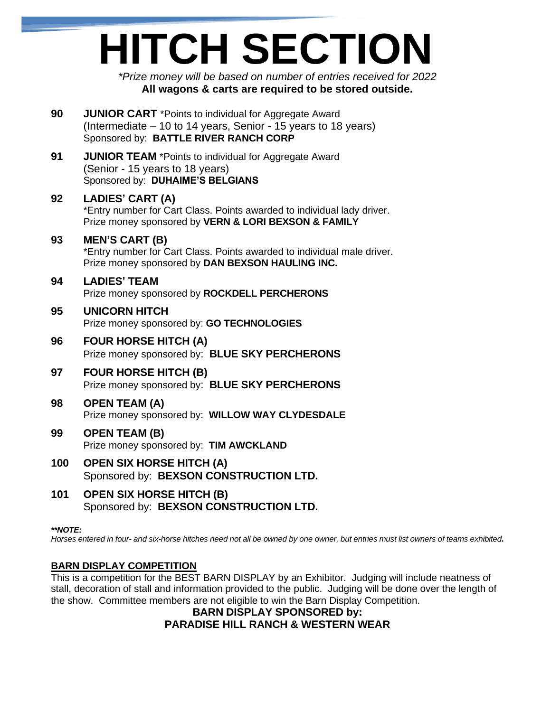# **HITCH SECTION**

*\*Prize money will be based on number of entries received for 2022* **All wagons & carts are required to be stored outside.**

- **90 JUNIOR CART** \*Points to individual for Aggregate Award (Intermediate – 10 to 14 years, Senior - 15 years to 18 years) Sponsored by: **BATTLE RIVER RANCH CORP**
- **91 JUNIOR TEAM** \*Points to individual for Aggregate Award (Senior - 15 years to 18 years) Sponsored by: **DUHAIME'S BELGIANS**

### **92 LADIES' CART (A)**

\*Entry number for Cart Class. Points awarded to individual lady driver. Prize money sponsored by **VERN & LORI BEXSON & FAMILY**

### **93 MEN'S CART (B)**

\*Entry number for Cart Class. Points awarded to individual male driver. Prize money sponsored by **DAN BEXSON HAULING INC.**

### **94 LADIES' TEAM**

Prize money sponsored by **ROCKDELL PERCHERONS**

### **95 UNICORN HITCH**

Prize money sponsored by: **GO TECHNOLOGIES**

### **96 FOUR HORSE HITCH (A)**

Prize money sponsored by: **BLUE SKY PERCHERONS**

### **97 FOUR HORSE HITCH (B)** Prize money sponsored by: **BLUE SKY PERCHERONS**

## **98 OPEN TEAM (A)**

Prize money sponsored by: **WILLOW WAY CLYDESDALE**

### **99 OPEN TEAM (B)**

Prize money sponsored by: **TIM AWCKLAND**

### **100 OPEN SIX HORSE HITCH (A)** Sponsored by: **BEXSON CONSTRUCTION LTD.**

**101 OPEN SIX HORSE HITCH (B)** Sponsored by: **BEXSON CONSTRUCTION LTD.**

### *\*\*NOTE:*

*Horses entered in four- and six-horse hitches need not all be owned by one owner, but entries must list owners of teams exhibited.*

### **BARN DISPLAY COMPETITION**

This is a competition for the BEST BARN DISPLAY by an Exhibitor. Judging will include neatness of stall, decoration of stall and information provided to the public. Judging will be done over the length of the show. Committee members are not eligible to win the Barn Display Competition.

### **BARN DISPLAY SPONSORED by: PARADISE HILL RANCH & WESTERN WEAR**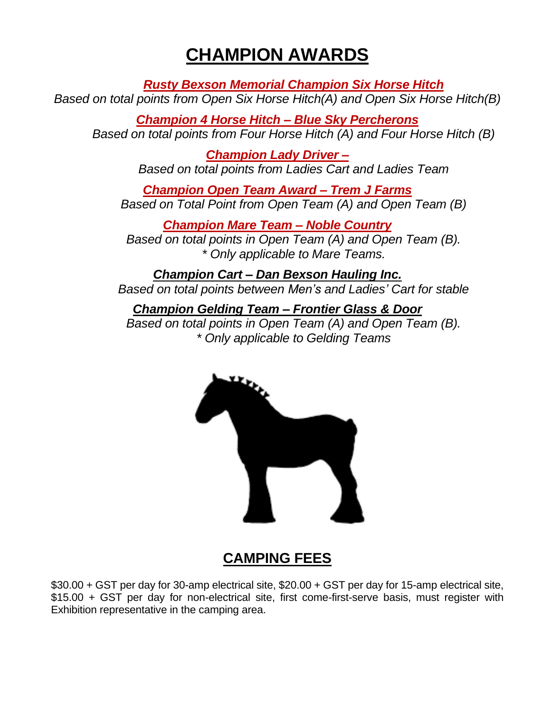## **CHAMPION AWARDS**

*Rusty Bexson Memorial Champion Six Horse Hitch*

*Based on total points from Open Six Horse Hitch(A) and Open Six Horse Hitch(B)*

*Champion 4 Horse Hitch – Blue Sky Percherons Based on total points from Four Horse Hitch (A) and Four Horse Hitch (B)*

> *Champion Lady Driver – Based on total points from Ladies Cart and Ladies Team*

*Champion Open Team Award – Trem J Farms Based on Total Point from Open Team (A) and Open Team (B)*

*Champion Mare Team – Noble Country Based on total points in Open Team (A) and Open Team (B). \* Only applicable to Mare Teams.*

*Champion Cart – Dan Bexson Hauling Inc. Based on total points between Men's and Ladies' Cart for stable*

*Champion Gelding Team – Frontier Glass & Door Based on total points in Open Team (A) and Open Team (B). \* Only applicable to Gelding Teams*



## **CAMPING FEES**

\$30.00 + GST per day for 30-amp electrical site, \$20.00 + GST per day for 15-amp electrical site, \$15.00 + GST per day for non-electrical site, first come-first-serve basis, must register with Exhibition representative in the camping area.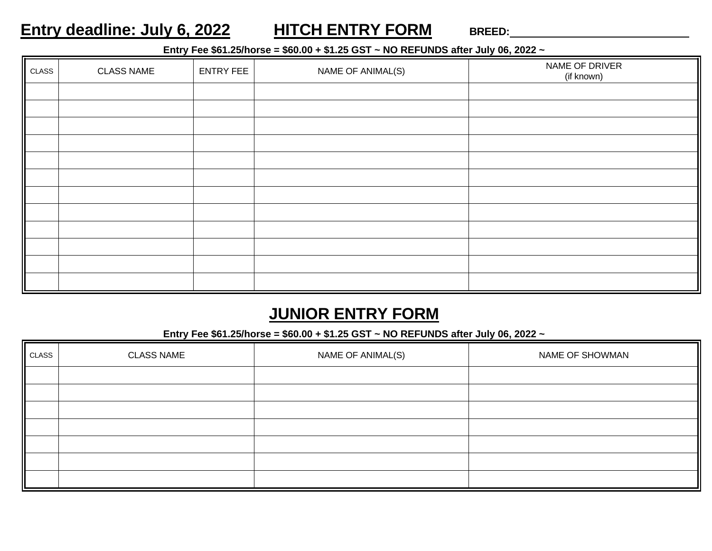## **Entry deadline: July 6, 2022 HITCH ENTRY FORM BREED:**

### **Entry Fee \$61.25/horse = \$60.00 + \$1.25 GST ~ NO REFUNDS after July 06, 2022 ~**

| CLASS | <b>CLASS NAME</b> | <b>ENTRY FEE</b> | NAME OF ANIMAL(S) | NAME OF DRIVER<br>(if known) |
|-------|-------------------|------------------|-------------------|------------------------------|
|       |                   |                  |                   |                              |
|       |                   |                  |                   |                              |
|       |                   |                  |                   |                              |
|       |                   |                  |                   |                              |
|       |                   |                  |                   |                              |
|       |                   |                  |                   |                              |
|       |                   |                  |                   |                              |
|       |                   |                  |                   |                              |
|       |                   |                  |                   |                              |
|       |                   |                  |                   |                              |
|       |                   |                  |                   |                              |
|       |                   |                  |                   |                              |

## **JUNIOR ENTRY FORM**

### **Entry Fee \$61.25/horse = \$60.00 + \$1.25 GST ~ NO REFUNDS after July 06, 2022 ~**

| CLASS | <b>CLASS NAME</b><br>NAME OF ANIMAL(S) |  | NAME OF SHOWMAN |  |
|-------|----------------------------------------|--|-----------------|--|
|       |                                        |  |                 |  |
|       |                                        |  |                 |  |
|       |                                        |  |                 |  |
|       |                                        |  |                 |  |
|       |                                        |  |                 |  |
|       |                                        |  |                 |  |
|       |                                        |  |                 |  |